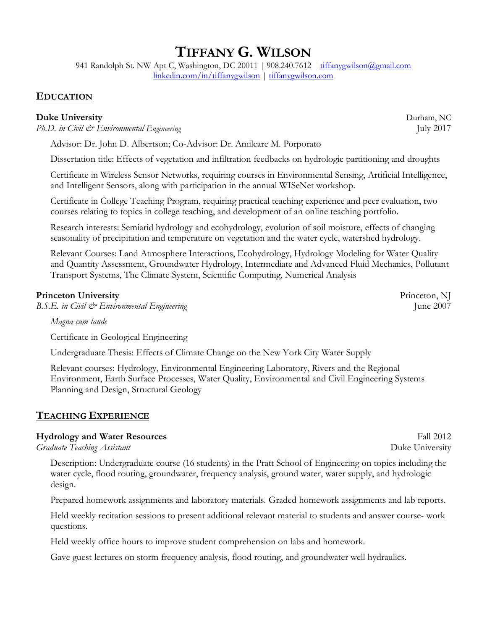# **TIFFANY G. WILSON**

941 Randolph St. NW Apt C, Washington, DC 20011 | 908.240.7612 | tiffanygwilson@gmail.com linkedin.com/in/tiffanygwilson | tiffanygwilson.com

## **EDUCATION**

## **Duke University** Durham, NC

*Ph.D. in Civil & Environmental Engineering* July 2017

Advisor: Dr. John D. Albertson; Co-Advisor: Dr. Amilcare M. Porporato

Dissertation title: Effects of vegetation and infiltration feedbacks on hydrologic partitioning and droughts

Certificate in Wireless Sensor Networks, requiring courses in Environmental Sensing, Artificial Intelligence, and Intelligent Sensors, along with participation in the annual WISeNet workshop.

Certificate in College Teaching Program, requiring practical teaching experience and peer evaluation, two courses relating to topics in college teaching, and development of an online teaching portfolio.

Research interests: Semiarid hydrology and ecohydrology, evolution of soil moisture, effects of changing seasonality of precipitation and temperature on vegetation and the water cycle, watershed hydrology.

Relevant Courses: Land Atmosphere Interactions, Ecohydrology, Hydrology Modeling for Water Quality and Quantity Assessment, Groundwater Hydrology, Intermediate and Advanced Fluid Mechanics, Pollutant Transport Systems, The Climate System, Scientific Computing, Numerical Analysis

## **Princeton University** Princeton, NJ

*B.S.E. in Civil*  $\mathcal{Q}$  *Environmental Engineering* June 2007

*Magna cum laude*

Certificate in Geological Engineering

Undergraduate Thesis: Effects of Climate Change on the New York City Water Supply

Relevant courses: Hydrology, Environmental Engineering Laboratory, Rivers and the Regional Environment, Earth Surface Processes, Water Quality, Environmental and Civil Engineering Systems Planning and Design, Structural Geology

## **TEACHING EXPERIENCE**

## **Hydrology and Water Resources** Fall 2012

*Graduate Teaching Assistant* Duke University

Description: Undergraduate course (16 students) in the Pratt School of Engineering on topics including the water cycle, flood routing, groundwater, frequency analysis, ground water, water supply, and hydrologic design.

Prepared homework assignments and laboratory materials. Graded homework assignments and lab reports.

Held weekly recitation sessions to present additional relevant material to students and answer course- work questions.

Held weekly office hours to improve student comprehension on labs and homework.

Gave guest lectures on storm frequency analysis, flood routing, and groundwater well hydraulics.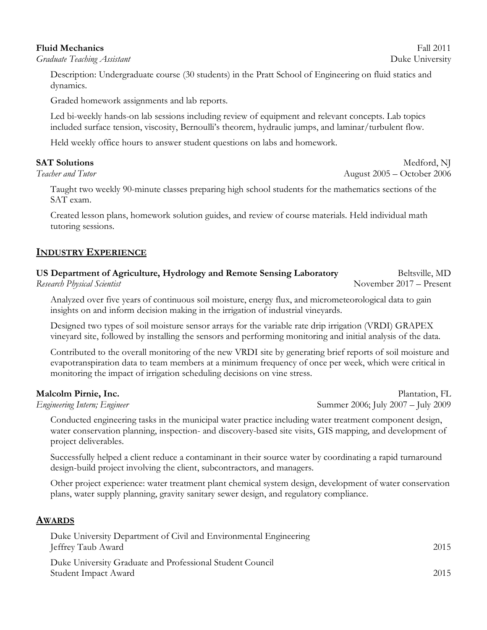## **Fluid Mechanics** Fall 2011

*Graduate Teaching Assistant* Duke University

Description: Undergraduate course (30 students) in the Pratt School of Engineering on fluid statics and dynamics.

Graded homework assignments and lab reports.

Led bi-weekly hands-on lab sessions including review of equipment and relevant concepts. Lab topics included surface tension, viscosity, Bernoulli's theorem, hydraulic jumps, and laminar/turbulent flow.

Held weekly office hours to answer student questions on labs and homework.

Taught two weekly 90-minute classes preparing high school students for the mathematics sections of the SAT exam.

Created lesson plans, homework solution guides, and review of course materials. Held individual math tutoring sessions.

## **INDUSTRY EXPERIENCE**

## **US Department of Agriculture, Hydrology and Remote Sensing Laboratory** Beltsville, MD Research Physical Scientist **November 2017** – Present

Analyzed over five years of continuous soil moisture, energy flux, and micrometeorological data to gain insights on and inform decision making in the irrigation of industrial vineyards.

Designed two types of soil moisture sensor arrays for the variable rate drip irrigation (VRDI) GRAPEX vineyard site, followed by installing the sensors and performing monitoring and initial analysis of the data.

Contributed to the overall monitoring of the new VRDI site by generating brief reports of soil moisture and evapotranspiration data to team members at a minimum frequency of once per week, which were critical in monitoring the impact of irrigation scheduling decisions on vine stress.

Conducted engineering tasks in the municipal water practice including water treatment component design, water conservation planning, inspection- and discovery-based site visits, GIS mapping, and development of project deliverables.

Successfully helped a client reduce a contaminant in their source water by coordinating a rapid turnaround design-build project involving the client, subcontractors, and managers.

Other project experience: water treatment plant chemical system design, development of water conservation plans, water supply planning, gravity sanitary sewer design, and regulatory compliance.

## **AWARDS**

| Duke University Department of Civil and Environmental Engineering |      |
|-------------------------------------------------------------------|------|
| Jeffrey Taub Award                                                | 2015 |
| Duke University Graduate and Professional Student Council         |      |
| Student Impact Award                                              | 2015 |

**SAT Solutions** Medford, NJ

**Malcolm Pirnie, Inc. Plantation**, FL **Plantation**, FL *Engineering Intern; Engineer* Summer 2006; July 2007 – July 2009

*Teacher and Tutor* August 2005 – October 2006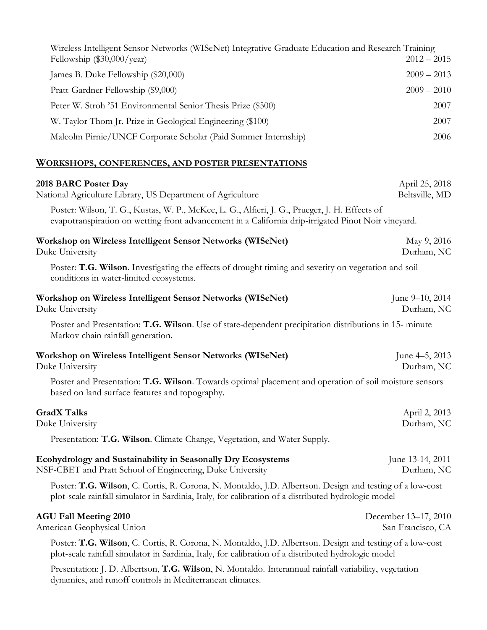| Wireless Intelligent Sensor Networks (WISeNet) Integrative Graduate Education and Research Training<br>Fellowship $(\$30,000/year)$ | $2012 - 2015$ |
|-------------------------------------------------------------------------------------------------------------------------------------|---------------|
| James B. Duke Fellowship (\$20,000)                                                                                                 | $2009 - 2013$ |
| Pratt-Gardner Fellowship (\$9,000)                                                                                                  | $2009 - 2010$ |
| Peter W. Stroh '51 Environmental Senior Thesis Prize (\$500)                                                                        | 2007          |
| W. Taylor Thom Jr. Prize in Geological Engineering (\$100)                                                                          | 2007          |
| Malcolm Pirnie/UNCF Corporate Scholar (Paid Summer Internship)                                                                      | 2006          |

## **WORKSHOPS, CONFERENCES, AND POSTER PRESENTATIONS**

dynamics, and runoff controls in Mediterranean climates.

| 2018 BARC Poster Day<br>National Agriculture Library, US Department of Agriculture                                                                                                                              | April 25, 2018<br>Beltsville, MD          |
|-----------------------------------------------------------------------------------------------------------------------------------------------------------------------------------------------------------------|-------------------------------------------|
| Poster: Wilson, T. G., Kustas, W. P., McKee, L. G., Alfieri, J. G., Prueger, J. H. Effects of<br>evapotranspiration on wetting front advancement in a California drip-irrigated Pinot Noir vineyard.            |                                           |
| Workshop on Wireless Intelligent Sensor Networks (WISeNet)<br>Duke University                                                                                                                                   | May 9, 2016<br>Durham, NC                 |
| Poster: T.G. Wilson. Investigating the effects of drought timing and severity on vegetation and soil<br>conditions in water-limited ecosystems.                                                                 |                                           |
| Workshop on Wireless Intelligent Sensor Networks (WISeNet)<br>Duke University                                                                                                                                   | June 9–10, 2014<br>Durham, NC             |
| Poster and Presentation: T.G. Wilson. Use of state-dependent precipitation distributions in 15- minute<br>Markov chain rainfall generation.                                                                     |                                           |
| Workshop on Wireless Intelligent Sensor Networks (WISeNet)<br>Duke University                                                                                                                                   | June 4–5, 2013<br>Durham, NC              |
| Poster and Presentation: T.G. Wilson. Towards optimal placement and operation of soil moisture sensors<br>based on land surface features and topography.                                                        |                                           |
| <b>GradX Talks</b><br>Duke University                                                                                                                                                                           | April 2, 2013<br>Durham, NC               |
| Presentation: T.G. Wilson. Climate Change, Vegetation, and Water Supply.                                                                                                                                        |                                           |
| Ecohydrology and Sustainability in Seasonally Dry Ecosystems<br>NSF-CBET and Pratt School of Engineering, Duke University                                                                                       | June 13-14, 2011<br>Durham, NC            |
| Poster: T.G. Wilson, C. Cortis, R. Corona, N. Montaldo, J.D. Albertson. Design and testing of a low-cost<br>plot-scale rainfall simulator in Sardinia, Italy, for calibration of a distributed hydrologic model |                                           |
| <b>AGU Fall Meeting 2010</b><br>American Geophysical Union                                                                                                                                                      | December 13-17, 2010<br>San Francisco, CA |
| Poster: T.G. Wilson, C. Cortis, R. Corona, N. Montaldo, J.D. Albertson. Design and testing of a low-cost<br>plot-scale rainfall simulator in Sardinia, Italy, for calibration of a distributed hydrologic model |                                           |
| Presentation: J. D. Albertson, T.G. Wilson, N. Montaldo. Interannual rainfall variability, vegetation                                                                                                           |                                           |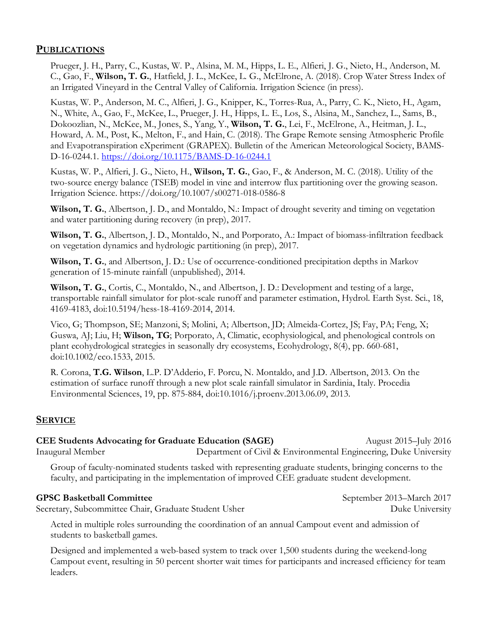## **PUBLICATIONS**

Prueger, J. H., Parry, C., Kustas, W. P., Alsina, M. M., Hipps, L. E., Alfieri, J. G., Nieto, H., Anderson, M. C., Gao, F., **Wilson, T. G.**, Hatfield, J. L., McKee, L. G., McElrone, A. (2018). Crop Water Stress Index of an Irrigated Vineyard in the Central Valley of California. Irrigation Science (in press).

Kustas, W. P., Anderson, M. C., Alfieri, J. G., Knipper, K., Torres-Rua, A., Parry, C. K., Nieto, H., Agam, N., White, A., Gao, F., McKee, L., Prueger, J. H., Hipps, L. E., Los, S., Alsina, M., Sanchez, L., Sams, B., Dokoozlian, N., McKee, M., Jones, S., Yang, Y., **Wilson, T. G.**, Lei, F., McElrone, A., Heitman, J. L., Howard, A. M., Post, K., Melton, F., and Hain, C. (2018). The Grape Remote sensing Atmospheric Profile and Evapotranspiration eXperiment (GRAPEX). Bulletin of the American Meteorological Society, BAMS-D-16-0244.1. https://doi.org/10.1175/BAMS-D-16-0244.1

Kustas, W. P., Alfieri, J. G., Nieto, H., **Wilson, T. G.**, Gao, F., & Anderson, M. C. (2018). Utility of the two-source energy balance (TSEB) model in vine and interrow flux partitioning over the growing season. Irrigation Science. https://doi.org/10.1007/s00271-018-0586-8

**Wilson, T. G.**, Albertson, J. D., and Montaldo, N.: Impact of drought severity and timing on vegetation and water partitioning during recovery (in prep), 2017.

**Wilson, T. G.**, Albertson, J. D., Montaldo, N., and Porporato, A.: Impact of biomass-infiltration feedback on vegetation dynamics and hydrologic partitioning (in prep), 2017.

**Wilson, T. G.**, and Albertson, J. D.: Use of occurrence-conditioned precipitation depths in Markov generation of 15-minute rainfall (unpublished), 2014.

**Wilson, T. G.**, Cortis, C., Montaldo, N., and Albertson, J. D.: Development and testing of a large, transportable rainfall simulator for plot-scale runoff and parameter estimation, Hydrol. Earth Syst. Sci., 18, 4169-4183, doi:10.5194/hess-18-4169-2014, 2014.

Vico, G; Thompson, SE; Manzoni, S; Molini, A; Albertson, JD; Almeida-Cortez, JS; Fay, PA; Feng, X; Guswa, AJ; Liu, H; **Wilson, TG**; Porporato, A, Climatic, ecophysiological, and phenological controls on plant ecohydrological strategies in seasonally dry ecosystems, Ecohydrology, 8(4), pp. 660-681, doi:10.1002/eco.1533, 2015.

R. Corona, **T.G. Wilson**, L.P. D'Adderio, F. Porcu, N. Montaldo, and J.D. Albertson, 2013. On the estimation of surface runoff through a new plot scale rainfall simulator in Sardinia, Italy. Procedia Environmental Sciences, 19, pp. 875-884, doi:10.1016/j.proenv.2013.06.09, 2013.

## **SERVICE**

**CEE Students Advocating for Graduate Education (SAGE)** August 2015–July 2016 Inaugural Member Department of Civil & Environmental Engineering, Duke University

Group of faculty-nominated students tasked with representing graduate students, bringing concerns to the faculty, and participating in the implementation of improved CEE graduate student development.

## GPSC Basketball Committee **September 2013–March 2017**

Secretary, Subcommittee Chair, Graduate Student Usher Duke University Duke University

Acted in multiple roles surrounding the coordination of an annual Campout event and admission of students to basketball games.

Designed and implemented a web-based system to track over 1,500 students during the weekend-long Campout event, resulting in 50 percent shorter wait times for participants and increased efficiency for team leaders.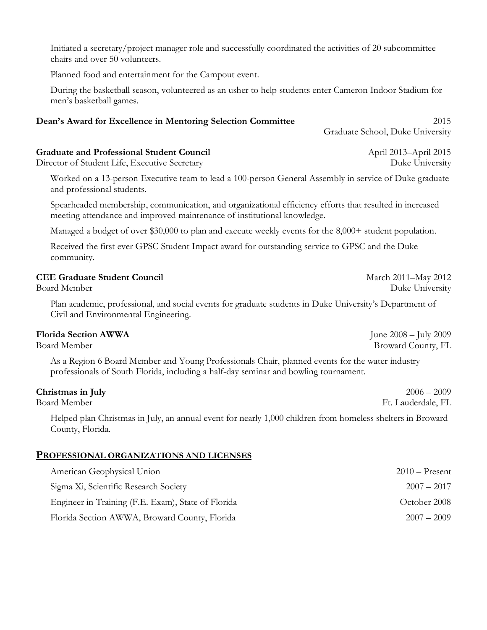Initiated a secretary/project manager role and successfully coordinated the activities of 20 subcommittee chairs and over 50 volunteers.

Planned food and entertainment for the Campout event.

During the basketball season, volunteered as an usher to help students enter Cameron Indoor Stadium for men's basketball games.

## **Dean's Award for Excellence in Mentoring Selection Committee** 2015

Graduate School, Duke University

## **Graduate and Professional Student Council** April 2013–April 2015

Director of Student Life, Executive Secretary Duke University

Worked on a 13-person Executive team to lead a 100-person General Assembly in service of Duke graduate and professional students.

Spearheaded membership, communication, and organizational efficiency efforts that resulted in increased meeting attendance and improved maintenance of institutional knowledge.

Managed a budget of over \$30,000 to plan and execute weekly events for the 8,000+ student population.

Received the first ever GPSC Student Impact award for outstanding service to GPSC and the Duke community.

## **CEE Graduate Student Council** March 2011–May 2012

Plan academic, professional, and social events for graduate students in Duke University's Department of Civil and Environmental Engineering.

## **Florida Section AWWA** June 2008 – July 2009

As a Region 6 Board Member and Young Professionals Chair, planned events for the water industry professionals of South Florida, including a half-day seminar and bowling tournament.

## **Christmas in July** 2006 – 2009

Helped plan Christmas in July, an annual event for nearly 1,000 children from homeless shelters in Broward County, Florida.

## **PROFESSIONAL ORGANIZATIONS AND LICENSES**

| American Geophysical Union                         | $2010$ – Present |
|----------------------------------------------------|------------------|
| Sigma Xi, Scientific Research Society              | $2007 - 2017$    |
| Engineer in Training (F.E. Exam), State of Florida | October 2008     |
| Florida Section AWWA, Broward County, Florida      | $2007 - 2009$    |

Board Member Duke University

Board Member Broward County, FL

Board Member Ft. Lauderdale, FL